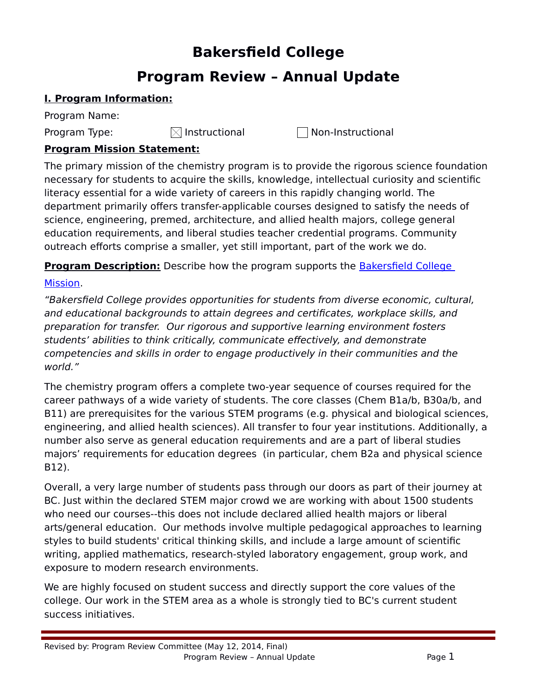# **Bakersfield College**

# **Program Review – Annual Update**

# **I. Program Information:**

Program Name:

Program Type:  $\boxtimes$  Instructional  $\Box$  Non-Instructional

# **Program Mission Statement:**

The primary mission of the chemistry program is to provide the rigorous science foundation necessary for students to acquire the skills, knowledge, intellectual curiosity and scientific literacy essential for a wide variety of careers in this rapidly changing world. The department primarily offers transfer-applicable courses designed to satisfy the needs of science, engineering, premed, architecture, and allied health majors, college general education requirements, and liberal studies teacher credential programs. Community outreach efforts comprise a smaller, yet still important, part of the work we do.

**Program Description:** Describe how the program supports the Bakersfield College

# Mission.

"Bakersfield College provides opportunities for students from diverse economic, cultural, and educational backgrounds to attain degrees and certificates, workplace skills, and preparation for transfer. Our rigorous and supportive learning environment fosters students' abilities to think critically, communicate effectively, and demonstrate competencies and skills in order to engage productively in their communities and the world."

The chemistry program offers a complete two-year sequence of courses required for the career pathways of a wide variety of students. The core classes (Chem B1a/b, B30a/b, and B11) are prerequisites for the various STEM programs (e.g. physical and biological sciences, engineering, and allied health sciences). All transfer to four year institutions. Additionally, a number also serve as general education requirements and are a part of liberal studies majors' requirements for education degrees (in particular, chem B2a and physical science B12).

Overall, a very large number of students pass through our doors as part of their journey at BC. Just within the declared STEM major crowd we are working with about 1500 students who need our courses--this does not include declared allied health majors or liberal arts/general education. Our methods involve multiple pedagogical approaches to learning styles to build students' critical thinking skills, and include a large amount of scientific writing, applied mathematics, research-styled laboratory engagement, group work, and exposure to modern research environments.

We are highly focused on student success and directly support the core values of the college. Our work in the STEM area as a whole is strongly tied to BC's current student success initiatives.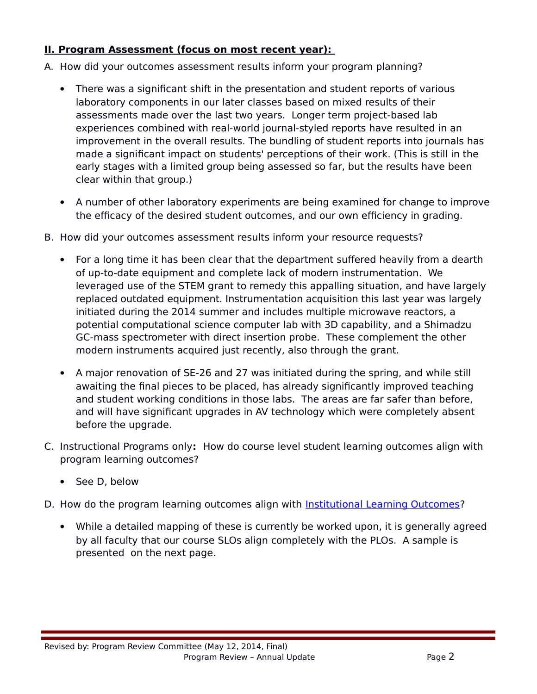# **II. Program Assessment (focus on most recent year):**

- A. How did your outcomes assessment results inform your program planning?
	- There was a significant shift in the presentation and student reports of various laboratory components in our later classes based on mixed results of their assessments made over the last two years. Longer term project-based lab experiences combined with real-world journal-styled reports have resulted in an improvement in the overall results. The bundling of student reports into journals has made a significant impact on students' perceptions of their work. (This is still in the early stages with a limited group being assessed so far, but the results have been clear within that group.)
	- A number of other laboratory experiments are being examined for change to improve the efficacy of the desired student outcomes, and our own efficiency in grading.
- B. How did your outcomes assessment results inform your resource requests?
	- For a long time it has been clear that the department suffered heavily from a dearth of up-to-date equipment and complete lack of modern instrumentation. We leveraged use of the STEM grant to remedy this appalling situation, and have largely replaced outdated equipment. Instrumentation acquisition this last year was largely initiated during the 2014 summer and includes multiple microwave reactors, a potential computational science computer lab with 3D capability, and a Shimadzu GC-mass spectrometer with direct insertion probe. These complement the other modern instruments acquired just recently, also through the grant.
	- A major renovation of SE-26 and 27 was initiated during the spring, and while still awaiting the final pieces to be placed, has already significantly improved teaching and student working conditions in those labs. The areas are far safer than before, and will have significant upgrades in AV technology which were completely absent before the upgrade.
- C. Instructional Programs only**:** How do course level student learning outcomes align with program learning outcomes?
	- See D, below
- D. How do the program learning outcomes align with Institutional Learning Outcomes?
	- While a detailed mapping of these is currently be worked upon, it is generally agreed by all faculty that our course SLOs align completely with the PLOs. A sample is presented on the next page.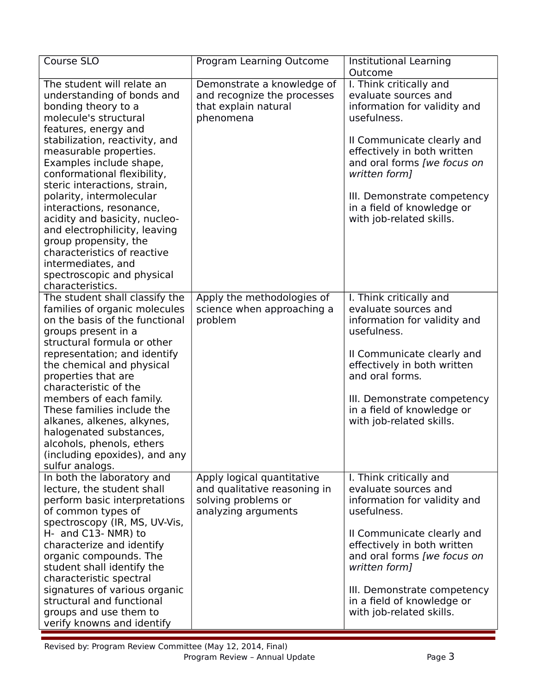| Course SLO                                                                                                                                                                                                                                                                                                                                                                                                                                                                                                                                       | Program Learning Outcome                                                                                 | Institutional Learning<br>Outcome                                                                                                                                                                                                                                                                    |
|--------------------------------------------------------------------------------------------------------------------------------------------------------------------------------------------------------------------------------------------------------------------------------------------------------------------------------------------------------------------------------------------------------------------------------------------------------------------------------------------------------------------------------------------------|----------------------------------------------------------------------------------------------------------|------------------------------------------------------------------------------------------------------------------------------------------------------------------------------------------------------------------------------------------------------------------------------------------------------|
| The student will relate an<br>understanding of bonds and<br>bonding theory to a<br>molecule's structural<br>features, energy and<br>stabilization, reactivity, and<br>measurable properties.<br>Examples include shape,<br>conformational flexibility,<br>steric interactions, strain,<br>polarity, intermolecular<br>interactions, resonance,<br>acidity and basicity, nucleo-<br>and electrophilicity, leaving<br>group propensity, the<br>characteristics of reactive<br>intermediates, and<br>spectroscopic and physical<br>characteristics. | Demonstrate a knowledge of<br>and recognize the processes<br>that explain natural<br>phenomena           | I. Think critically and<br>evaluate sources and<br>information for validity and<br>usefulness.<br>Il Communicate clearly and<br>effectively in both written<br>and oral forms [we focus on<br>written form]<br>III. Demonstrate competency<br>in a field of knowledge or<br>with job-related skills. |
| The student shall classify the<br>families of organic molecules<br>on the basis of the functional<br>groups present in a<br>structural formula or other<br>representation; and identify<br>the chemical and physical<br>properties that are<br>characteristic of the<br>members of each family.<br>These families include the<br>alkanes, alkenes, alkynes,<br>halogenated substances,<br>alcohols, phenols, ethers<br>(including epoxides), and any<br>sulfur analogs.                                                                          | Apply the methodologies of<br>science when approaching a<br>problem                                      | I. Think critically and<br>evaluate sources and<br>information for validity and<br>usefulness.<br>Il Communicate clearly and<br>effectively in both written<br>and oral forms.<br>III. Demonstrate competency<br>in a field of knowledge or<br>with job-related skills.                              |
| In both the laboratory and<br>lecture, the student shall<br>perform basic interpretations<br>of common types of<br>spectroscopy (IR, MS, UV-Vis,<br>H- and C13- NMR) to<br>characterize and identify<br>organic compounds. The<br>student shall identify the<br>characteristic spectral<br>signatures of various organic<br>structural and functional<br>groups and use them to<br>verify knowns and identify                                                                                                                                    | Apply logical quantitative<br>and qualitative reasoning in<br>solving problems or<br>analyzing arguments | I. Think critically and<br>evaluate sources and<br>information for validity and<br>usefulness.<br>Il Communicate clearly and<br>effectively in both written<br>and oral forms [we focus on<br>written form]<br>III. Demonstrate competency<br>in a field of knowledge or<br>with job-related skills. |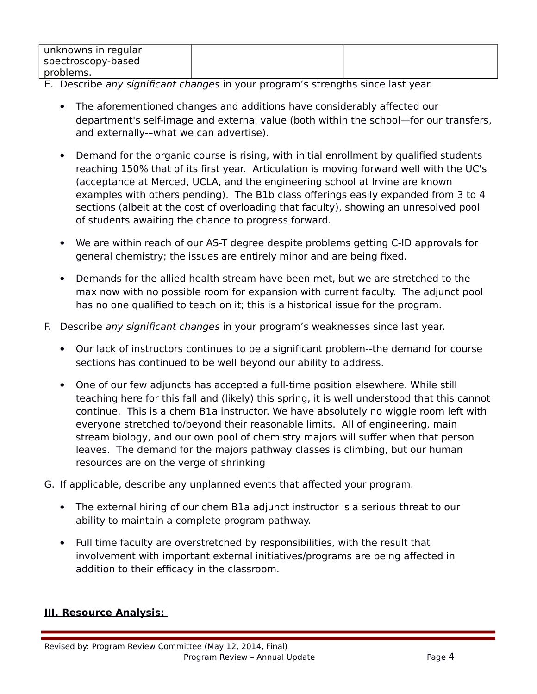| unknowns in regular |  |
|---------------------|--|
| spectroscopy-based  |  |
| problems.           |  |

- E. Describe any significant changes in your program's strengths since last year.
	- The aforementioned changes and additions have considerably affected our department's self-image and external value (both within the school—for our transfers, and externally-–what we can advertise).
	- Demand for the organic course is rising, with initial enrollment by qualified students reaching 150% that of its first year. Articulation is moving forward well with the UC's (acceptance at Merced, UCLA, and the engineering school at Irvine are known examples with others pending). The B1b class offerings easily expanded from 3 to 4 sections (albeit at the cost of overloading that faculty), showing an unresolved pool of students awaiting the chance to progress forward.
	- We are within reach of our AS-T degree despite problems getting C-ID approvals for general chemistry; the issues are entirely minor and are being fixed.
	- Demands for the allied health stream have been met, but we are stretched to the max now with no possible room for expansion with current faculty. The adjunct pool has no one qualified to teach on it; this is a historical issue for the program.
- F. Describe any significant changes in your program's weaknesses since last year.
	- Our lack of instructors continues to be a significant problem--the demand for course sections has continued to be well beyond our ability to address.
	- One of our few adjuncts has accepted a full-time position elsewhere. While still teaching here for this fall and (likely) this spring, it is well understood that this cannot continue. This is a chem B1a instructor. We have absolutely no wiggle room left with everyone stretched to/beyond their reasonable limits. All of engineering, main stream biology, and our own pool of chemistry majors will suffer when that person leaves. The demand for the majors pathway classes is climbing, but our human resources are on the verge of shrinking
- G. If applicable, describe any unplanned events that affected your program.
	- The external hiring of our chem B1a adjunct instructor is a serious threat to our ability to maintain a complete program pathway.
	- Full time faculty are overstretched by responsibilities, with the result that involvement with important external initiatives/programs are being affected in addition to their efficacy in the classroom.

## **III. Resource Analysis:**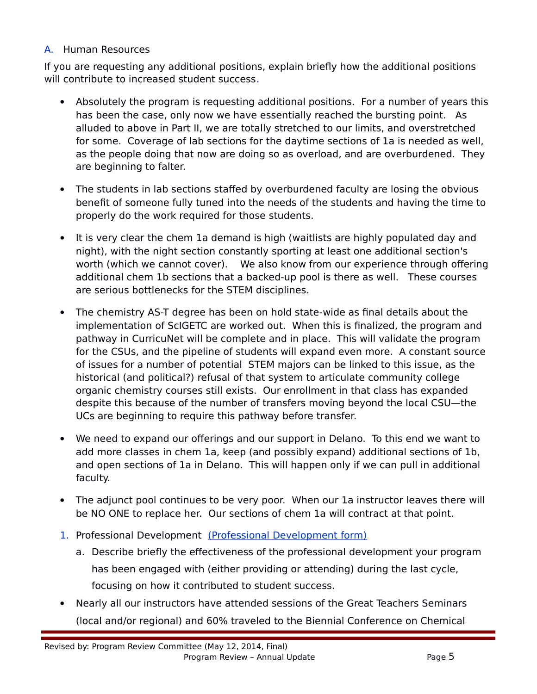## A. Human Resources

If you are requesting any additional positions, explain briefly how the additional positions will contribute to increased student success.

- Absolutely the program is requesting additional positions. For a number of years this has been the case, only now we have essentially reached the bursting point. As alluded to above in Part II, we are totally stretched to our limits, and overstretched for some. Coverage of lab sections for the daytime sections of 1a is needed as well, as the people doing that now are doing so as overload, and are overburdened. They are beginning to falter.
- The students in lab sections staffed by overburdened faculty are losing the obvious benefit of someone fully tuned into the needs of the students and having the time to properly do the work required for those students.
- It is very clear the chem 1a demand is high (waitlists are highly populated day and night), with the night section constantly sporting at least one additional section's worth (which we cannot cover). We also know from our experience through offering additional chem 1b sections that a backed-up pool is there as well. These courses are serious bottlenecks for the STEM disciplines.
- The chemistry AS-T degree has been on hold state-wide as final details about the implementation of ScIGETC are worked out. When this is finalized, the program and pathway in CurricuNet will be complete and in place. This will validate the program for the CSUs, and the pipeline of students will expand even more. A constant source of issues for a number of potential STEM majors can be linked to this issue, as the historical (and political?) refusal of that system to articulate community college organic chemistry courses still exists. Our enrollment in that class has expanded despite this because of the number of transfers moving beyond the local CSU—the UCs are beginning to require this pathway before transfer.
- We need to expand our offerings and our support in Delano. To this end we want to add more classes in chem 1a, keep (and possibly expand) additional sections of 1b, and open sections of 1a in Delano. This will happen only if we can pull in additional faculty.
- The adjunct pool continues to be very poor. When our 1a instructor leaves there will be NO ONE to replace her. Our sections of chem 1a will contract at that point.
- 1. Professional Development (Professional Development form)
	- a. Describe briefly the effectiveness of the professional development your program has been engaged with (either providing or attending) during the last cycle, focusing on how it contributed to student success.
- Nearly all our instructors have attended sessions of the Great Teachers Seminars (local and/or regional) and 60% traveled to the Biennial Conference on Chemical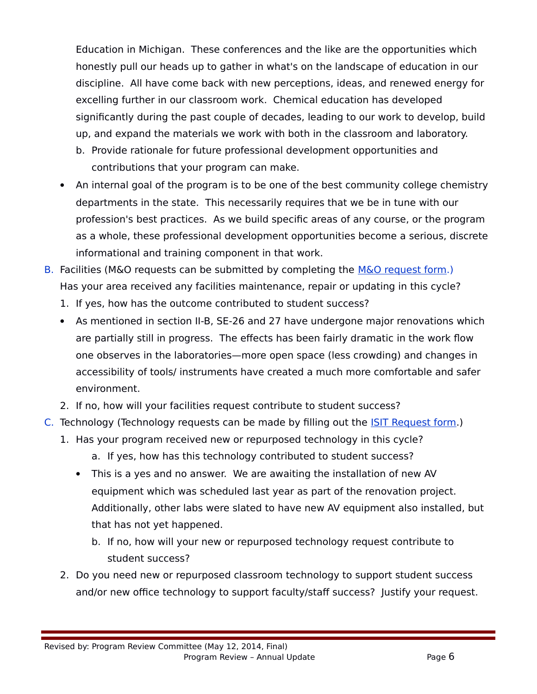Education in Michigan. These conferences and the like are the opportunities which honestly pull our heads up to gather in what's on the landscape of education in our discipline. All have come back with new perceptions, ideas, and renewed energy for excelling further in our classroom work. Chemical education has developed significantly during the past couple of decades, leading to our work to develop, build up, and expand the materials we work with both in the classroom and laboratory.

- b. Provide rationale for future professional development opportunities and contributions that your program can make.
- An internal goal of the program is to be one of the best community college chemistry departments in the state. This necessarily requires that we be in tune with our profession's best practices. As we build specific areas of any course, or the program as a whole, these professional development opportunities become a serious, discrete informational and training component in that work.
- B. Facilities (M&O requests can be submitted by completing the [M&O request form.](https://committees.kccd.edu/sites/committees.kccd.edu/files/Copy%20of%2012%20M%26O%20Needs%20Workbook%2012-13APR.xlsx)) Has your area received any facilities maintenance, repair or updating in this cycle?
	- 1. If yes, how has the outcome contributed to student success?
	- As mentioned in section II-B, SE-26 and 27 have undergone major renovations which are partially still in progress. The effects has been fairly dramatic in the work flow one observes in the laboratories—more open space (less crowding) and changes in accessibility of tools/ instruments have created a much more comfortable and safer environment.
	- 2. If no, how will your facilities request contribute to student success?
- C. Technology (Technology requests can be made by filling out the [ISIT Request form.](http://www.bakersfieldcollege.edu/irp/Annual%20Program%20Reviews/2012-13/13%20ISIT%20Priority%20Workbook12-13.xlsx))
	- 1. Has your program received new or repurposed technology in this cycle? a. If yes, how has this technology contributed to student success?
		- This is a yes and no answer. We are awaiting the installation of new AV equipment which was scheduled last year as part of the renovation project. Additionally, other labs were slated to have new AV equipment also installed, but that has not yet happened.
			- b. If no, how will your new or repurposed technology request contribute to student success?
	- 2. Do you need new or repurposed classroom technology to support student success and/or new office technology to support faculty/staff success? Justify your request.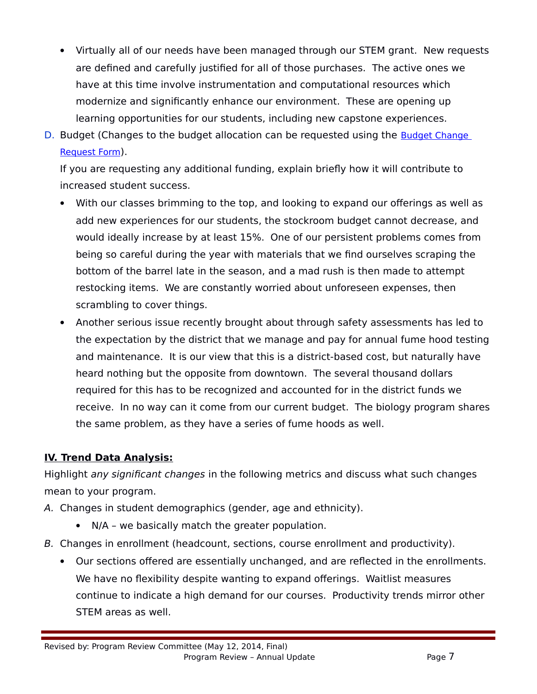- Virtually all of our needs have been managed through our STEM grant. New requests are defined and carefully justified for all of those purchases. The active ones we have at this time involve instrumentation and computational resources which modernize and significantly enhance our environment. These are opening up learning opportunities for our students, including new capstone experiences.
- D. Budget (Changes to the budget allocation can be requested using the Budget Change [Request Form](http://committees.kccd.edu/bc/committee/programreview)).

If you are requesting any additional funding, explain briefly how it will contribute to increased student success.

- With our classes brimming to the top, and looking to expand our offerings as well as add new experiences for our students, the stockroom budget cannot decrease, and would ideally increase by at least 15%. One of our persistent problems comes from being so careful during the year with materials that we find ourselves scraping the bottom of the barrel late in the season, and a mad rush is then made to attempt restocking items. We are constantly worried about unforeseen expenses, then scrambling to cover things.
- Another serious issue recently brought about through safety assessments has led to the expectation by the district that we manage and pay for annual fume hood testing and maintenance. It is our view that this is a district-based cost, but naturally have heard nothing but the opposite from downtown. The several thousand dollars required for this has to be recognized and accounted for in the district funds we receive. In no way can it come from our current budget. The biology program shares the same problem, as they have a series of fume hoods as well.

# **IV. Trend Data Analysis:**

Highlight *any significant changes* in the following metrics and discuss what such changes mean to your program.

- A. Changes in student demographics (gender, age and ethnicity).
	- N/A we basically match the greater population.
- B. Changes in enrollment (headcount, sections, course enrollment and productivity).
	- Our sections offered are essentially unchanged, and are reflected in the enrollments. We have no flexibility despite wanting to expand offerings. Waitlist measures continue to indicate a high demand for our courses. Productivity trends mirror other STEM areas as well.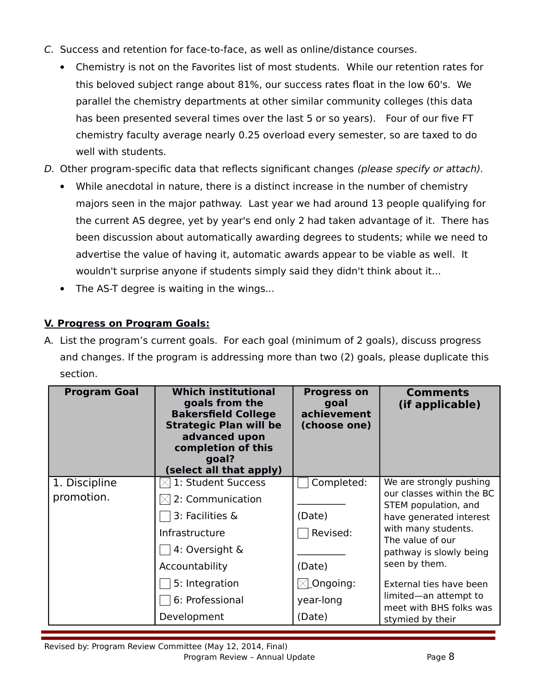- C. Success and retention for face-to-face, as well as online/distance courses.
	- Chemistry is not on the Favorites list of most students. While our retention rates for this beloved subject range about 81%, our success rates float in the low 60's. We parallel the chemistry departments at other similar community colleges (this data has been presented several times over the last 5 or so years). Four of our five FT chemistry faculty average nearly 0.25 overload every semester, so are taxed to do well with students.
- D. Other program-specific data that reflects significant changes (please specify or attach).
	- While anecdotal in nature, there is a distinct increase in the number of chemistry majors seen in the major pathway. Last year we had around 13 people qualifying for the current AS degree, yet by year's end only 2 had taken advantage of it. There has been discussion about automatically awarding degrees to students; while we need to advertise the value of having it, automatic awards appear to be viable as well. It wouldn't surprise anyone if students simply said they didn't think about it...
	- The AS-T degree is waiting in the wings...

# **V. Progress on Program Goals:**

A. List the program's current goals. For each goal (minimum of 2 goals), discuss progress and changes. If the program is addressing more than two (2) goals, please duplicate this section.

| <b>Program Goal</b> | <b>Which institutional</b><br>goals from the<br><b>Bakersfield College</b><br><b>Strategic Plan will be</b><br>advanced upon<br>completion of this<br>goal?<br>(select all that apply) | <b>Progress on</b><br>goal<br>achievement<br>(choose one) | <b>Comments</b><br>(if applicable)                |
|---------------------|----------------------------------------------------------------------------------------------------------------------------------------------------------------------------------------|-----------------------------------------------------------|---------------------------------------------------|
| 1. Discipline       | 1: Student Success                                                                                                                                                                     | Completed:                                                | We are strongly pushing                           |
| promotion.          | $\boxtimes$ 2: Communication                                                                                                                                                           |                                                           | our classes within the BC<br>STEM population, and |
|                     | 3: Facilities &                                                                                                                                                                        | (Date)                                                    | have generated interest                           |
|                     | Infrastructure                                                                                                                                                                         | Revised:                                                  | with many students.<br>The value of our           |
|                     | 4: Oversight &                                                                                                                                                                         |                                                           | pathway is slowly being                           |
|                     | Accountability                                                                                                                                                                         | (Date)                                                    | seen by them.                                     |
|                     | 5: Integration                                                                                                                                                                         | $\boxtimes$ Ongoing:                                      | External ties have been                           |
|                     | 6: Professional                                                                                                                                                                        | year-long                                                 | limited—an attempt to<br>meet with BHS folks was  |
|                     | Development                                                                                                                                                                            | (Date)                                                    | stymied by their                                  |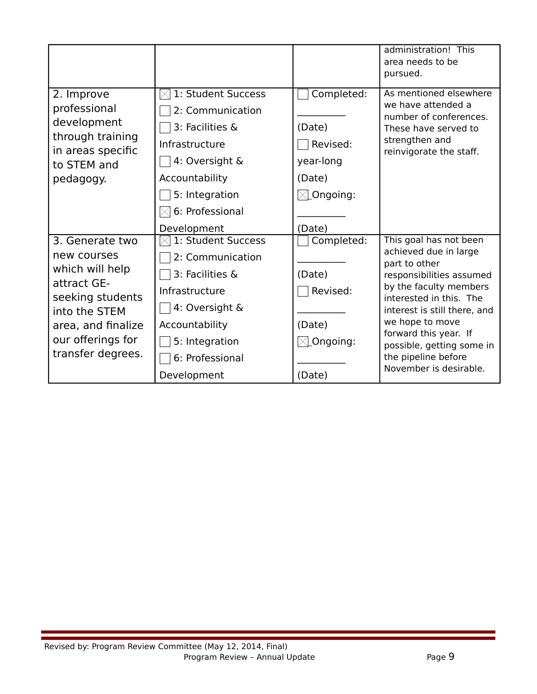|                                                                                                                                                                       |                                                                                                                                                                     |                                                                                           | administration! This<br>area needs to be<br>pursued.                                                                                                                                                                                                                                                        |
|-----------------------------------------------------------------------------------------------------------------------------------------------------------------------|---------------------------------------------------------------------------------------------------------------------------------------------------------------------|-------------------------------------------------------------------------------------------|-------------------------------------------------------------------------------------------------------------------------------------------------------------------------------------------------------------------------------------------------------------------------------------------------------------|
| 2. Improve<br>professional<br>development<br>through training<br>in areas specific<br>to STEM and<br>pedagogy.                                                        | 1: Student Success<br>2: Communication<br>3: Facilities &<br>Infrastructure<br>4: Oversight &<br>Accountability<br>5: Integration<br>6: Professional<br>Development | Completed:<br>(Date)<br>Revised:<br>year-long<br>(Date)<br>$\boxtimes$ Ongoing:<br>(Date) | As mentioned elsewhere<br>we have attended a<br>number of conferences.<br>These have served to<br>strengthen and<br>reinvigorate the staff.                                                                                                                                                                 |
| 3. Generate two<br>new courses<br>which will help<br>attract GE-<br>seeking students<br>into the STEM<br>area, and finalize<br>our offerings for<br>transfer degrees. | 1: Student Success<br>2: Communication<br>3: Facilities &<br>Infrastructure<br>4: Oversight &<br>Accountability<br>5: Integration<br>6: Professional<br>Development | Completed:<br>(Date)<br>Revised:<br>(Date)<br>$\boxtimes$ Ongoing:<br>(Date)              | This goal has not been<br>achieved due in large<br>part to other<br>responsibilities assumed<br>by the faculty members<br>interested in this. The<br>interest is still there, and<br>we hope to move<br>forward this year. If<br>possible, getting some in<br>the pipeline before<br>November is desirable. |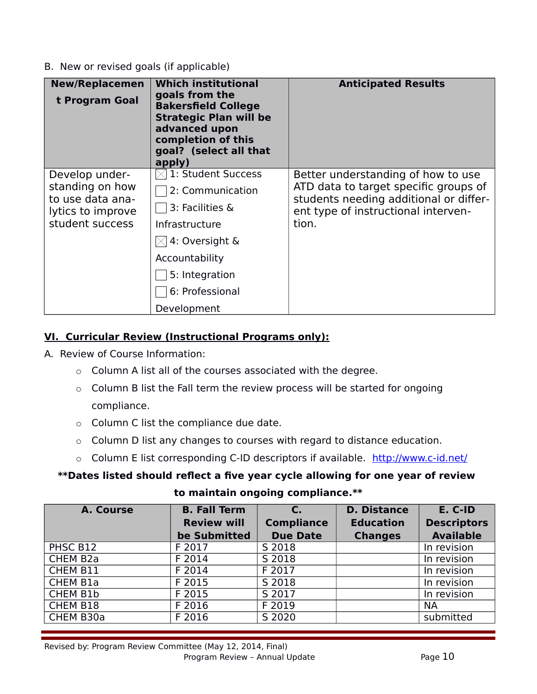B. New or revised goals (if applicable)

| <b>New/Replacemen</b><br>t Program Goal                                                       | <b>Which institutional</b><br>goals from the<br><b>Bakersfield College</b><br><b>Strategic Plan will be</b><br>advanced upon<br>completion of this<br>goal? (select all that<br>apply)     | <b>Anticipated Results</b>                                                                                                                                            |
|-----------------------------------------------------------------------------------------------|--------------------------------------------------------------------------------------------------------------------------------------------------------------------------------------------|-----------------------------------------------------------------------------------------------------------------------------------------------------------------------|
| Develop under-<br>standing on how<br>to use data ana-<br>lytics to improve<br>student success | $\times$   1: Student Success<br>2: Communication<br>3: Facilities &<br>Infrastructure<br>$\boxtimes$ 4: Oversight &<br>Accountability<br>5: Integration<br>6: Professional<br>Development | Better understanding of how to use<br>ATD data to target specific groups of<br>students needing additional or differ-<br>ent type of instructional interven-<br>tion. |

## **VI. Curricular Review (Instructional Programs only):**

- A. Review of Course Information:
	- o Column A list all of the courses associated with the degree.
	- o Column B list the Fall term the review process will be started for ongoing compliance.
	- o Column C list the compliance due date.
	- o Column D list any changes to courses with regard to distance education.
	- o Column E list corresponding C-ID descriptors if available. <http://www.c-id.net/>

# **\*\*Dates listed should reflect a five year cycle allowing for one year of review**

**to maintain ongoing compliance.\*\***

| A. Course            | <b>B. Fall Term</b> | C.                | <b>D. Distance</b> | E. C-ID            |
|----------------------|---------------------|-------------------|--------------------|--------------------|
|                      | <b>Review will</b>  | <b>Compliance</b> | <b>Education</b>   | <b>Descriptors</b> |
|                      | be Submitted        | <b>Due Date</b>   | <b>Changes</b>     | <b>Available</b>   |
| PHSC B12             | F 2017              | S 2018            |                    | In revision        |
| CHEM B <sub>2a</sub> | F 2014              | S 2018            |                    | In revision        |
| CHEM B11             | F 2014              | F 2017            |                    | In revision        |
| <b>CHEM B1a</b>      | F 2015              | S 2018            |                    | In revision        |
| CHEM B1b             | F 2015              | S 2017            |                    | In revision        |
| CHEM B18             | F 2016              | F 2019            |                    | <b>NA</b>          |
| CHEM B30a            | F 2016              | S 2020            |                    | submitted          |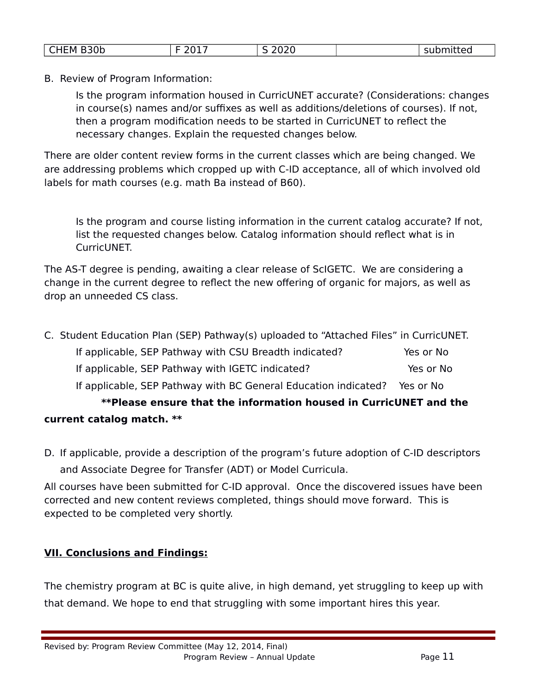| CHEM B30b | $-201$<br>---- | 2020 | - - - - - - - - -<br>mueu<br>эu |
|-----------|----------------|------|---------------------------------|

B. Review of Program Information:

Is the program information housed in CurricUNET accurate? (Considerations: changes in course(s) names and/or suffixes as well as additions/deletions of courses). If not, then a program modification needs to be started in CurricUNET to reflect the necessary changes. Explain the requested changes below.

There are older content review forms in the current classes which are being changed. We are addressing problems which cropped up with C-ID acceptance, all of which involved old labels for math courses (e.g. math Ba instead of B60).

Is the program and course listing information in the current catalog accurate? If not, list the requested changes below. Catalog information should reflect what is in CurricUNET.

The AS-T degree is pending, awaiting a clear release of ScIGETC. We are considering a change in the current degree to reflect the new offering of organic for majors, as well as drop an unneeded CS class.

| C. Student Education Plan (SEP) Pathway(s) uploaded to "Attached Files" in CurricUNET. |           |
|----------------------------------------------------------------------------------------|-----------|
| If applicable, SEP Pathway with CSU Breadth indicated?                                 | Yes or No |
| If applicable, SEP Pathway with IGETC indicated?                                       | Yes or No |
| If applicable, SEP Pathway with BC General Education indicated? Yes or No              |           |
| **Please ensure that the information housed in CurricUNET and the                      |           |
| current catalog match. **                                                              |           |

D. If applicable, provide a description of the program's future adoption of C-ID descriptors and Associate Degree for Transfer (ADT) or Model Curricula.

All courses have been submitted for C-ID approval. Once the discovered issues have been corrected and new content reviews completed, things should move forward. This is expected to be completed very shortly.

# **VII. Conclusions and Findings:**

The chemistry program at BC is quite alive, in high demand, yet struggling to keep up with that demand. We hope to end that struggling with some important hires this year.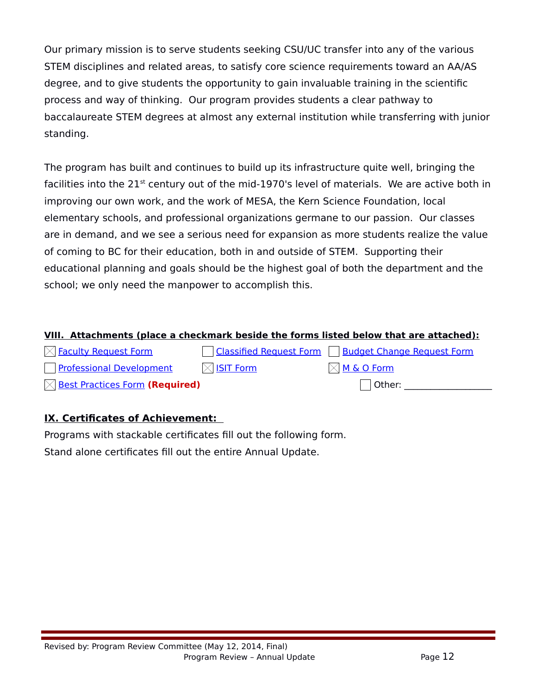Our primary mission is to serve students seeking CSU/UC transfer into any of the various STEM disciplines and related areas, to satisfy core science requirements toward an AA/AS degree, and to give students the opportunity to gain invaluable training in the scientific process and way of thinking. Our program provides students a clear pathway to baccalaureate STEM degrees at almost any external institution while transferring with junior standing.

The program has built and continues to build up its infrastructure quite well, bringing the facilities into the  $21^{st}$  century out of the mid-1970's level of materials. We are active both in improving our own work, and the work of MESA, the Kern Science Foundation, local elementary schools, and professional organizations germane to our passion. Our classes are in demand, and we see a serious need for expansion as more students realize the value of coming to BC for their education, both in and outside of STEM. Supporting their educational planning and goals should be the highest goal of both the department and the school; we only need the manpower to accomplish this.

## **VIII. Attachments (place a checkmark beside the forms listed below that are attached):**

| $\boxtimes$ Faculty Request Form           |                       | <b>Classified Request Form   Budget Change Request Form</b> |
|--------------------------------------------|-----------------------|-------------------------------------------------------------|
| Professional Development                   | $\boxtimes$ ISIT Form | $\boxtimes$ <u>M &amp; O Form</u>                           |
| $\boxtimes$ Best Practices Form (Required) |                       | Other:                                                      |

# **IX. Certificates of Achievement:**

Programs with stackable certificates fill out the following form.

Stand alone certificates fill out the entire Annual Update.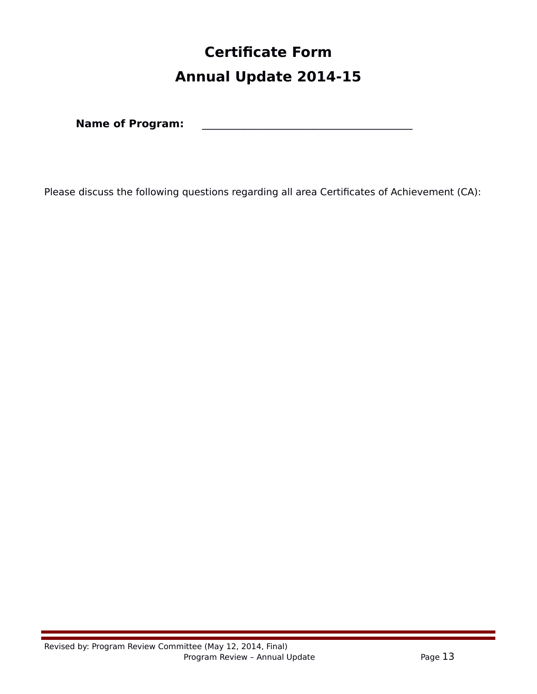# **Certificate Form Annual Update 2014-15**

**Name of Program:** \_\_\_\_\_\_\_\_\_\_\_\_\_\_\_\_\_\_\_\_\_\_\_\_\_\_\_\_\_\_\_\_\_\_\_\_\_\_\_\_

Please discuss the following questions regarding all area Certificates of Achievement (CA):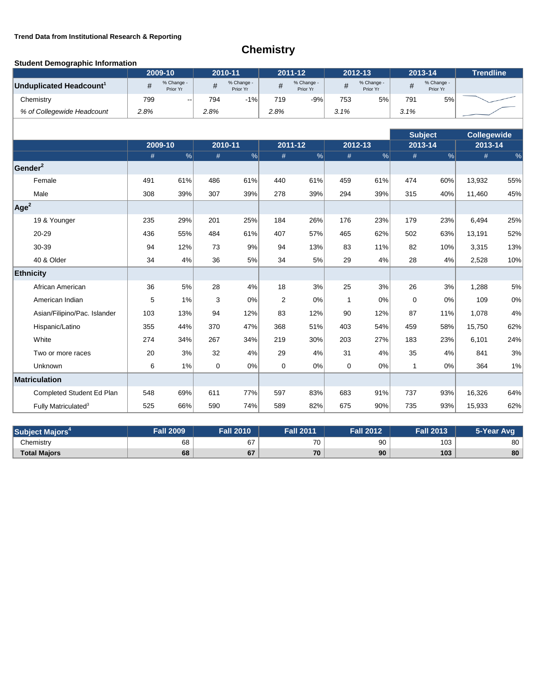### **Trend Data from Institutional Research & Reporting**

# **Chemistry**

### **Student Demographic Information**

|                                     |      | 2009-10                |             | 2010-11                | 2011-12        |                        | 2012-13      |                        | 2013-14      |                        | <b>Trendline</b>   |       |
|-------------------------------------|------|------------------------|-------------|------------------------|----------------|------------------------|--------------|------------------------|--------------|------------------------|--------------------|-------|
| Unduplicated Headcount <sup>1</sup> | #    | % Change -<br>Prior Yr | #           | % Change -<br>Prior Yr | $\#$           | % Change -<br>Prior Yr | $\#$         | % Change -<br>Prior Yr | $\#$         | % Change -<br>Prior Yr |                    |       |
| Chemistry                           | 799  |                        | 794         | $-1%$                  | 719            | $-9%$                  | 753          | 5%                     | 791          | 5%                     |                    |       |
| % of Collegewide Headcount          | 2.8% |                        | 2.8%        |                        | 2.8%           |                        | 3.1%         |                        | 3.1%         |                        |                    |       |
|                                     |      |                        |             |                        |                |                        |              |                        |              |                        |                    |       |
|                                     |      |                        |             |                        |                |                        |              |                        |              | <b>Subject</b>         | <b>Collegewide</b> |       |
|                                     | #    | 2009-10<br>$\%$        | #           | 2010-11<br>%           | #              | 2011-12<br>%           | #            | 2012-13<br>%           | #            | 2013-14<br>%           | 2013-14<br>#       | %     |
| Gender <sup>2</sup>                 |      |                        |             |                        |                |                        |              |                        |              |                        |                    |       |
| Female                              | 491  | 61%                    | 486         | 61%                    | 440            | 61%                    | 459          | 61%                    | 474          | 60%                    | 13,932             | 55%   |
| Male                                | 308  | 39%                    | 307         | 39%                    | 278            | 39%                    | 294          | 39%                    | 315          | 40%                    | 11,460             | 45%   |
| Age <sup>2</sup>                    |      |                        |             |                        |                |                        |              |                        |              |                        |                    |       |
| 19 & Younger                        | 235  | 29%                    | 201         | 25%                    | 184            | 26%                    | 176          | 23%                    | 179          | 23%                    | 6,494              | 25%   |
| 20-29                               | 436  | 55%                    | 484         | 61%                    | 407            | 57%                    | 465          | 62%                    | 502          | 63%                    | 13,191             | 52%   |
| 30-39                               | 94   | 12%                    | 73          | 9%                     | 94             | 13%                    | 83           | 11%                    | 82           | 10%                    | 3,315              | 13%   |
| 40 & Older                          | 34   | 4%                     | 36          | 5%                     | 34             | 5%                     | 29           | 4%                     | 28           | 4%                     | 2,528              | 10%   |
| Ethnicity                           |      |                        |             |                        |                |                        |              |                        |              |                        |                    |       |
| African American                    | 36   | 5%                     | 28          | 4%                     | 18             | 3%                     | 25           | 3%                     | 26           | 3%                     | 1,288              | 5%    |
| American Indian                     | 5    | 1%                     | 3           | 0%                     | $\overline{2}$ | 0%                     | $\mathbf{1}$ | 0%                     | $\mathbf 0$  | 0%                     | 109                | $0\%$ |
| Asian/Filipino/Pac. Islander        | 103  | 13%                    | 94          | 12%                    | 83             | 12%                    | 90           | 12%                    | 87           | 11%                    | 1,078              | 4%    |
| Hispanic/Latino                     | 355  | 44%                    | 370         | 47%                    | 368            | 51%                    | 403          | 54%                    | 459          | 58%                    | 15,750             | 62%   |
| White                               | 274  | 34%                    | 267         | 34%                    | 219            | 30%                    | 203          | 27%                    | 183          | 23%                    | 6,101              | 24%   |
| Two or more races                   | 20   | 3%                     | 32          | 4%                     | 29             | 4%                     | 31           | 4%                     | 35           | 4%                     | 841                | 3%    |
| Unknown                             | 6    | 1%                     | $\mathbf 0$ | 0%                     | $\mathbf 0$    | 0%                     | $\mathbf 0$  | 0%                     | $\mathbf{1}$ | 0%                     | 364                | 1%    |
| Matriculation                       |      |                        |             |                        |                |                        |              |                        |              |                        |                    |       |
| Completed Student Ed Plan           | 548  | 69%                    | 611         | 77%                    | 597            | 83%                    | 683          | 91%                    | 737          | 93%                    | 16,326             | 64%   |
| Fully Matriculated <sup>3</sup>     | 525  | 66%                    | 590         | 74%                    | 589            | 82%                    | 675          | 90%                    | 735          | 93%                    | 15,933             | 62%   |

| Subject <sup>1</sup><br>Maiors | <b>Fall 2009</b> | <b>Fall 2010</b> | <b>Fall 2011</b> | <b>Fall 2012</b> | <b>Fall 2013</b> | 5-Year Avg |
|--------------------------------|------------------|------------------|------------------|------------------|------------------|------------|
| Chemistry                      | 68               | 67               | 70               | 90               | 103              | 80         |
| <b>Total Majors</b>            | 68               | 67               | 70               | 90               | 103              | 80         |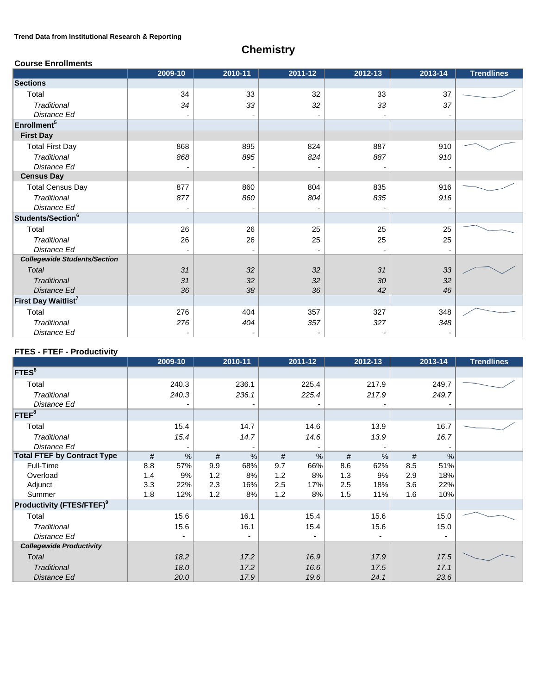### **Trend Data from Institutional Research & Reporting**

# **Chemistry**

### **Course Enrollments**

|                                     | 2009-10 | 2010-11 | 2011-12 | 2012-13 | 2013-14 | <b>Trendlines</b> |
|-------------------------------------|---------|---------|---------|---------|---------|-------------------|
| <b>Sections</b>                     |         |         |         |         |         |                   |
| Total                               | 34      | 33      | 32      | 33      | 37      |                   |
| <b>Traditional</b>                  | 34      | 33      | 32      | 33      | 37      |                   |
| Distance Ed                         |         |         |         |         |         |                   |
| Enrollment <sup>5</sup>             |         |         |         |         |         |                   |
| <b>First Day</b>                    |         |         |         |         |         |                   |
| <b>Total First Day</b>              | 868     | 895     | 824     | 887     | 910     |                   |
| <b>Traditional</b>                  | 868     | 895     | 824     | 887     | 910     |                   |
| Distance Ed                         |         |         |         |         |         |                   |
| <b>Census Day</b>                   |         |         |         |         |         |                   |
| <b>Total Census Day</b>             | 877     | 860     | 804     | 835     | 916     |                   |
| Traditional                         | 877     | 860     | 804     | 835     | 916     |                   |
| Distance Ed                         |         |         |         |         |         |                   |
| Students/Section <sup>6</sup>       |         |         |         |         |         |                   |
| Total                               | 26      | 26      | 25      | 25      | 25      |                   |
| Traditional                         | 26      | 26      | 25      | 25      | 25      |                   |
| Distance Ed                         |         |         | -       |         |         |                   |
| <b>Collegewide Students/Section</b> |         |         |         |         |         |                   |
| Total                               | 31      | 32      | 32      | 31      | 33      |                   |
| <b>Traditional</b>                  | 31      | 32      | 32      | 30      | 32      |                   |
| Distance Ed                         | 36      | 38      | 36      | 42      | 46      |                   |
| First Day Waitlist <sup>7</sup>     |         |         |         |         |         |                   |
| Total                               | 276     | 404     | 357     | 327     | 348     |                   |
| Traditional                         | 276     | 404     | 357     | 327     | 348     |                   |
| Distance Ed                         |         |         |         |         |         |                   |

### **FTES - FTEF - Productivity**

|                                              | 2009-10    |            | 2010-11 |     | 2011-12                  |     | 2012-13                  |     | 2013-14       | <b>Trendlines</b> |
|----------------------------------------------|------------|------------|---------|-----|--------------------------|-----|--------------------------|-----|---------------|-------------------|
| <b>FTES</b> <sup>8</sup>                     |            |            |         |     |                          |     |                          |     |               |                   |
| Total                                        | 240.3      |            | 236.1   |     | 225.4                    |     | 217.9                    |     | 249.7         |                   |
| Traditional<br>Distance Ed                   | 240.3      |            | 236.1   |     | 225.4                    |     | 217.9                    |     | 249.7         |                   |
| $FTEF^8$                                     |            |            |         |     |                          |     |                          |     |               |                   |
| Total                                        | 15.4       |            | 14.7    |     | 14.6                     |     | 13.9                     |     | 16.7          |                   |
| <b>Traditional</b><br>Distance Ed            | 15.4       |            | 14.7    |     | 14.6                     |     | 13.9                     |     | 16.7          |                   |
| <b>Total FTEF by Contract Type</b>           | #          | $\%$       | %<br>#  | #   | $\%$                     | #   | $\frac{0}{0}$            | #   | $\frac{0}{0}$ |                   |
| Full-Time                                    | 57%<br>8.8 | 9.9        | 68%     | 9.7 | 66%                      | 8.6 | 62%                      | 8.5 | 51%           |                   |
| Overload                                     | 1.4        | 9%<br>1.2  | 8%      | 1.2 | 8%                       | 1.3 | 9%                       | 2.9 | 18%           |                   |
| Adjunct                                      | 3.3<br>22% | 2.3        | 16%     | 2.5 | 17%                      | 2.5 | 18%                      | 3.6 | 22%           |                   |
| Summer                                       | 1.8        | 12%<br>1.2 | 8%      | 1.2 | 8%                       | 1.5 | 11%                      | 1.6 | 10%           |                   |
| <b>Productivity (FTES/FTEF)</b> <sup>9</sup> |            |            |         |     |                          |     |                          |     |               |                   |
| Total                                        | 15.6       |            | 16.1    |     | 15.4                     |     | 15.6                     |     | 15.0          |                   |
| Traditional                                  | 15.6       |            | 16.1    |     | 15.4                     |     | 15.6                     |     | 15.0          |                   |
| Distance Ed                                  |            |            |         |     | $\overline{\phantom{a}}$ |     | $\overline{\phantom{a}}$ |     |               |                   |
| <b>Collegewide Productivity</b>              |            |            |         |     |                          |     |                          |     |               |                   |
| Total                                        | 18.2       |            | 17.2    |     | 16.9                     |     | 17.9                     |     | 17.5          |                   |
| Traditional                                  | 18.0       |            | 17.2    |     | 16.6                     |     | 17.5                     |     | 17.1          |                   |
| Distance Ed                                  | 20.0       |            | 17.9    |     | 19.6                     |     | 24.1                     |     | 23.6          |                   |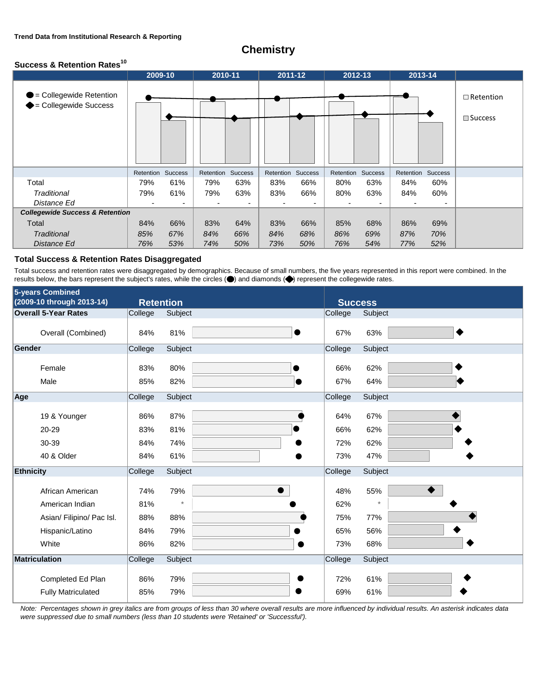## **Chemistry**

### **Success & Retention Rates<sup>10</sup>**

|                                                            | 2009-10   |                | 2010-11   |         | 2011-12           |     | 2012-13   |         | 2013-14           |     |                                       |
|------------------------------------------------------------|-----------|----------------|-----------|---------|-------------------|-----|-----------|---------|-------------------|-----|---------------------------------------|
| <b>D</b> = Collegewide Retention<br>◆= Collegewide Success |           |                |           |         |                   |     |           |         |                   |     | $\Box$ Retention<br>$\square$ Success |
|                                                            | Retention | <b>Success</b> | Retention | Success | Retention Success |     | Retention | Success | Retention Success |     |                                       |
| Total                                                      | 79%       | 61%            | 79%       | 63%     | 83%               | 66% | 80%       | 63%     | 84%               | 60% |                                       |
| Traditional                                                | 79%       | 61%            | 79%       | 63%     | 83%               | 66% | 80%       | 63%     | 84%               | 60% |                                       |
| Distance Ed                                                | ٠         |                | ٠         |         |                   | ٠   |           |         |                   |     |                                       |
| <b>Collegewide Success &amp; Retention</b>                 |           |                |           |         |                   |     |           |         |                   |     |                                       |
| Total                                                      | 84%       | 66%            | 83%       | 64%     | 83%               | 66% | 85%       | 68%     | 86%               | 69% |                                       |
| <b>Traditional</b>                                         | 85%       | 67%            | 84%       | 66%     | 84%               | 68% | 86%       | 69%     | 87%               | 70% |                                       |
| Distance Ed                                                | 76%       | 53%            | 74%       | 50%     | 73%               | 50% | 76%       | 54%     | 77%               | 52% |                                       |

### **Total Success & Retention Rates Disaggregated**

Total success and retention rates were disaggregated by demographics. Because of small numbers, the five years represented in this report were combined. In the results below, the bars represent the subject's rates, while the circles  $( \bullet )$  and diamonds  $( \bullet )$  represent the collegewide rates.

|                  | 5-years Combined                               |                  |                |           |                |                |
|------------------|------------------------------------------------|------------------|----------------|-----------|----------------|----------------|
|                  | (2009-10 through 2013-14)                      | <b>Retention</b> |                |           | <b>Success</b> |                |
|                  | <b>Overall 5-Year Rates</b>                    | College          | Subject        |           | College        | Subject        |
|                  | Overall (Combined)                             | 84%              | 81%            | $\bullet$ | 67%            | 63%            |
| Gender           |                                                | College          | Subject        |           | College        | Subject        |
|                  | Female<br>Male                                 | 83%<br>85%       | 80%<br>82%     |           | 66%<br>67%     | 62%<br>64%     |
| Age              |                                                | College          | Subject        |           | College        | Subject        |
|                  |                                                |                  |                |           |                |                |
|                  | 19 & Younger                                   | 86%              | 87%            |           | 64%            | 67%            |
|                  | 20-29                                          | 83%              | 81%            |           | 66%            | 62%            |
|                  | 30-39                                          | 84%              | 74%            |           | 72%            | 62%            |
|                  | 40 & Older                                     | 84%              | 61%            |           | 73%            | 47%            |
| <b>Ethnicity</b> |                                                | College          | Subject        |           | College        | Subject        |
|                  | African American<br>American Indian            | 74%<br>81%       | 79%<br>$\star$ |           | 48%<br>62%     | 55%<br>$\star$ |
|                  | Asian/ Filipino/ Pac Isl.                      | 88%              | 88%            |           | 75%            | 77%            |
|                  | Hispanic/Latino                                | 84%              | 79%            |           | 65%            | 56%            |
|                  | White                                          | 86%              | 82%            |           | 73%            | 68%            |
|                  | Matriculation                                  | College          | Subject        |           | College        | Subject        |
|                  | Completed Ed Plan<br><b>Fully Matriculated</b> | 86%<br>85%       | 79%<br>79%     |           | 72%<br>69%     | 61%<br>61%     |

*Note: Percentages shown in grey italics are from groups of less than 30 where overall results are more influenced by individual results. An asterisk indicates data were suppressed due to small numbers (less than 10 students were 'Retained' or 'Successful').*